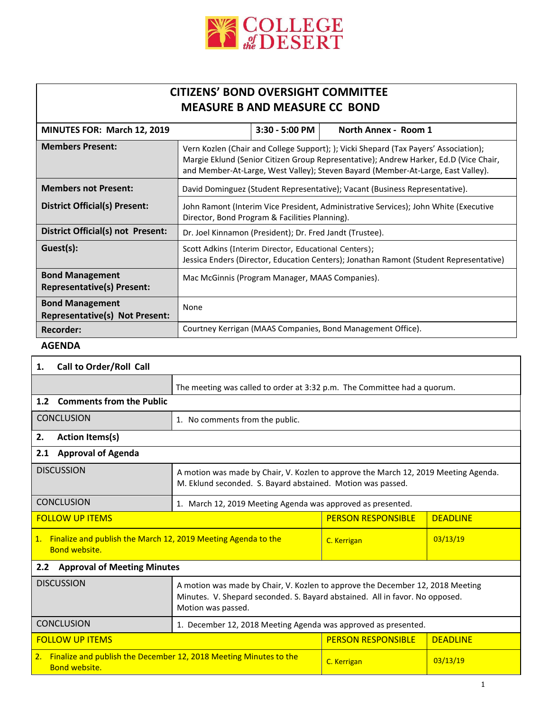

## **CITIZENS' BOND OVERSIGHT COMMITTEE MEASURE B AND MEASURE CC BOND**

| MINUTES FOR: March 12, 2019                                     |                                                                                                                                                                                                                                                                   | 3:30 - 5:00 PM | North Annex - Room 1                                        |  |
|-----------------------------------------------------------------|-------------------------------------------------------------------------------------------------------------------------------------------------------------------------------------------------------------------------------------------------------------------|----------------|-------------------------------------------------------------|--|
| <b>Members Present:</b>                                         | Vern Kozlen (Chair and College Support); ); Vicki Shepard (Tax Payers' Association);<br>Margie Eklund (Senior Citizen Group Representative); Andrew Harker, Ed.D (Vice Chair,<br>and Member-At-Large, West Valley); Steven Bayard (Member-At-Large, East Valley). |                |                                                             |  |
| <b>Members not Present:</b>                                     | David Dominguez (Student Representative); Vacant (Business Representative).                                                                                                                                                                                       |                |                                                             |  |
| <b>District Official(s) Present:</b>                            | John Ramont (Interim Vice President, Administrative Services); John White (Executive<br>Director, Bond Program & Facilities Planning).                                                                                                                            |                |                                                             |  |
| District Official(s) not Present:                               | Dr. Joel Kinnamon (President); Dr. Fred Jandt (Trustee).                                                                                                                                                                                                          |                |                                                             |  |
| Guest(s):                                                       | Scott Adkins (Interim Director, Educational Centers);<br>Jessica Enders (Director, Education Centers); Jonathan Ramont (Student Representative)                                                                                                                   |                |                                                             |  |
| <b>Bond Management</b><br><b>Representative(s) Present:</b>     | Mac McGinnis (Program Manager, MAAS Companies).                                                                                                                                                                                                                   |                |                                                             |  |
| <b>Bond Management</b><br><b>Representative(s) Not Present:</b> | None                                                                                                                                                                                                                                                              |                |                                                             |  |
| <b>Recorder:</b>                                                |                                                                                                                                                                                                                                                                   |                | Courtney Kerrigan (MAAS Companies, Bond Management Office). |  |

## **AGENDA**

| 1.                                                                                           | Call to Order/Roll Call         |                                                                                                                                                                                      |                           |                 |  |
|----------------------------------------------------------------------------------------------|---------------------------------|--------------------------------------------------------------------------------------------------------------------------------------------------------------------------------------|---------------------------|-----------------|--|
|                                                                                              |                                 | The meeting was called to order at 3:32 p.m. The Committee had a quorum.                                                                                                             |                           |                 |  |
| 1.2                                                                                          | <b>Comments from the Public</b> |                                                                                                                                                                                      |                           |                 |  |
|                                                                                              | <b>CONCLUSION</b>               | 1. No comments from the public.                                                                                                                                                      |                           |                 |  |
| 2.                                                                                           | <b>Action Items(s)</b>          |                                                                                                                                                                                      |                           |                 |  |
| 2.1                                                                                          | <b>Approval of Agenda</b>       |                                                                                                                                                                                      |                           |                 |  |
|                                                                                              | <b>DISCUSSION</b>               | A motion was made by Chair, V. Kozlen to approve the March 12, 2019 Meeting Agenda.<br>M. Eklund seconded. S. Bayard abstained. Motion was passed.                                   |                           |                 |  |
|                                                                                              | <b>CONCLUSION</b>               | 1. March 12, 2019 Meeting Agenda was approved as presented.                                                                                                                          |                           |                 |  |
| <b>FOLLOW UP ITEMS</b>                                                                       |                                 |                                                                                                                                                                                      | <b>PERSON RESPONSIBLE</b> | <b>DEADLINE</b> |  |
| 1. Finalize and publish the March 12, 2019 Meeting Agenda to the<br><b>Bond website.</b>     |                                 |                                                                                                                                                                                      | C. Kerrigan               | 03/13/19        |  |
| <b>Approval of Meeting Minutes</b><br>2.2                                                    |                                 |                                                                                                                                                                                      |                           |                 |  |
|                                                                                              | <b>DISCUSSION</b>               | A motion was made by Chair, V. Kozlen to approve the December 12, 2018 Meeting<br>Minutes. V. Shepard seconded. S. Bayard abstained. All in favor. No opposed.<br>Motion was passed. |                           |                 |  |
|                                                                                              | <b>CONCLUSION</b>               | 1. December 12, 2018 Meeting Agenda was approved as presented.                                                                                                                       |                           |                 |  |
| <b>FOLLOW UP ITEMS</b>                                                                       |                                 |                                                                                                                                                                                      | <b>PERSON RESPONSIBLE</b> | <b>DEADLINE</b> |  |
| 2. Finalize and publish the December 12, 2018 Meeting Minutes to the<br><b>Bond website.</b> |                                 | C. Kerrigan                                                                                                                                                                          | 03/13/19                  |                 |  |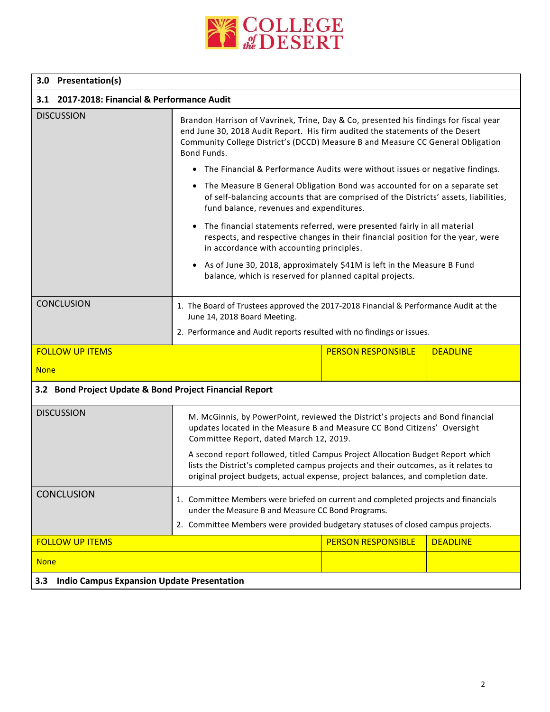

## **3.0 Presentation(s)**

| 3.1 2017-2018: Financial & Performance Audit             |                                                                                                                                                                                                                                                                                                                                                               |                           |                 |  |  |  |
|----------------------------------------------------------|---------------------------------------------------------------------------------------------------------------------------------------------------------------------------------------------------------------------------------------------------------------------------------------------------------------------------------------------------------------|---------------------------|-----------------|--|--|--|
| <b>DISCUSSION</b>                                        | Brandon Harrison of Vavrinek, Trine, Day & Co, presented his findings for fiscal year<br>end June 30, 2018 Audit Report. His firm audited the statements of the Desert<br>Community College District's (DCCD) Measure B and Measure CC General Obligation<br>Bond Funds.                                                                                      |                           |                 |  |  |  |
|                                                          | • The Financial & Performance Audits were without issues or negative findings.                                                                                                                                                                                                                                                                                |                           |                 |  |  |  |
|                                                          | The Measure B General Obligation Bond was accounted for on a separate set<br>of self-balancing accounts that are comprised of the Districts' assets, liabilities,<br>fund balance, revenues and expenditures.                                                                                                                                                 |                           |                 |  |  |  |
|                                                          | The financial statements referred, were presented fairly in all material<br>$\bullet$<br>respects, and respective changes in their financial position for the year, were<br>in accordance with accounting principles.<br>• As of June 30, 2018, approximately \$41M is left in the Measure B Fund<br>balance, which is reserved for planned capital projects. |                           |                 |  |  |  |
|                                                          |                                                                                                                                                                                                                                                                                                                                                               |                           |                 |  |  |  |
| <b>CONCLUSION</b>                                        | 1. The Board of Trustees approved the 2017-2018 Financial & Performance Audit at the<br>June 14, 2018 Board Meeting.                                                                                                                                                                                                                                          |                           |                 |  |  |  |
|                                                          | 2. Performance and Audit reports resulted with no findings or issues.                                                                                                                                                                                                                                                                                         |                           |                 |  |  |  |
| <b>FOLLOW UP ITEMS</b>                                   |                                                                                                                                                                                                                                                                                                                                                               | <b>PERSON RESPONSIBLE</b> | <b>DEADLINE</b> |  |  |  |
| <b>None</b>                                              |                                                                                                                                                                                                                                                                                                                                                               |                           |                 |  |  |  |
| 3.2 Bond Project Update & Bond Project Financial Report  |                                                                                                                                                                                                                                                                                                                                                               |                           |                 |  |  |  |
| <b>DISCUSSION</b>                                        | M. McGinnis, by PowerPoint, reviewed the District's projects and Bond financial<br>updates located in the Measure B and Measure CC Bond Citizens' Oversight<br>Committee Report, dated March 12, 2019.                                                                                                                                                        |                           |                 |  |  |  |
|                                                          | A second report followed, titled Campus Project Allocation Budget Report which<br>lists the District's completed campus projects and their outcomes, as it relates to<br>original project budgets, actual expense, project balances, and completion date.                                                                                                     |                           |                 |  |  |  |
| <b>CONCLUSION</b>                                        | 1. Committee Members were briefed on current and completed projects and financials<br>under the Measure B and Measure CC Bond Programs.                                                                                                                                                                                                                       |                           |                 |  |  |  |
|                                                          | 2. Committee Members were provided budgetary statuses of closed campus projects.                                                                                                                                                                                                                                                                              |                           |                 |  |  |  |
| <b>FOLLOW UP ITEMS</b>                                   |                                                                                                                                                                                                                                                                                                                                                               | <b>PERSON RESPONSIBLE</b> | <b>DEADLINE</b> |  |  |  |
| <b>None</b>                                              |                                                                                                                                                                                                                                                                                                                                                               |                           |                 |  |  |  |
| <b>Indio Campus Expansion Update Presentation</b><br>3.3 |                                                                                                                                                                                                                                                                                                                                                               |                           |                 |  |  |  |